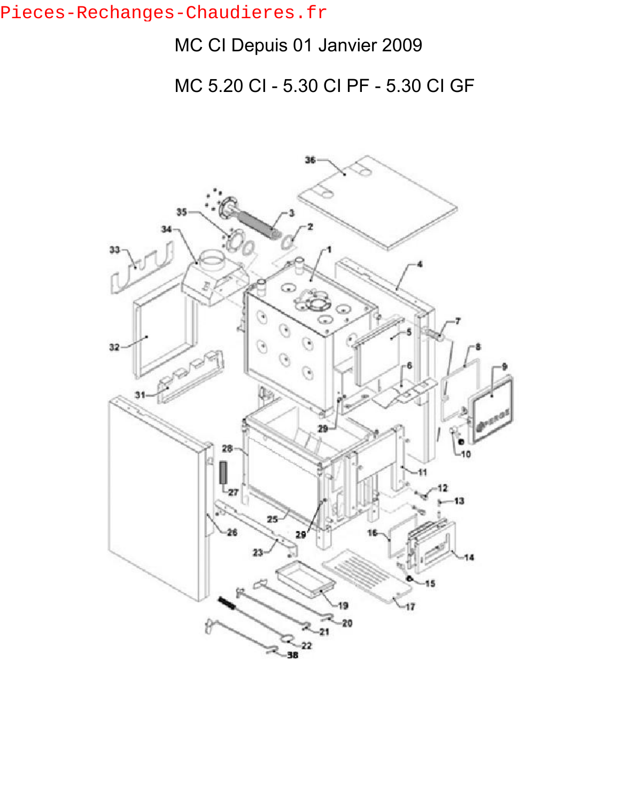## Pieces-Rechanges-Chaudieres.fr

## MC CI Depuis 01 Janvier 2009

MC 5.20 CI - 5.30 CI PF - 5.30 CI GF

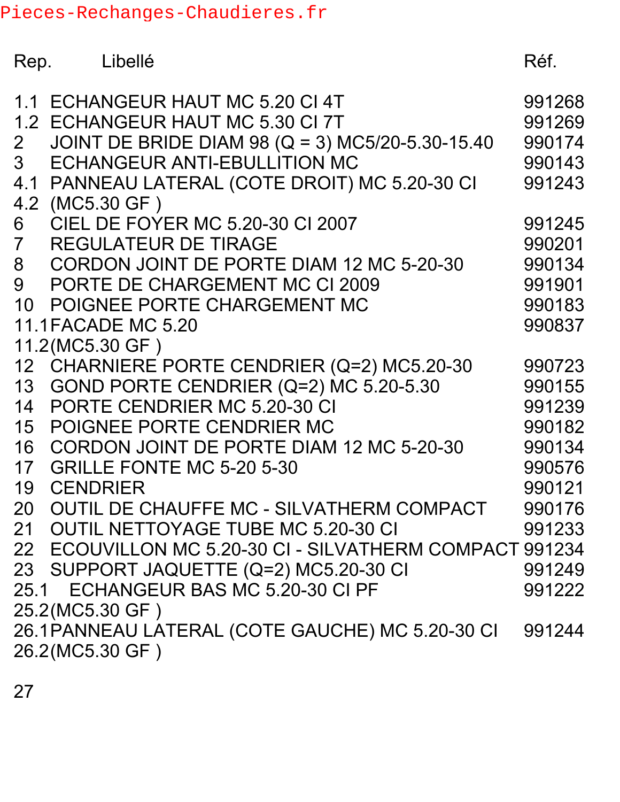Pieces-Rechanges-Chaudieres.fr

| Rep.                             | Libellé                                                                                                                                                                                                                       | Réf.                                           |
|----------------------------------|-------------------------------------------------------------------------------------------------------------------------------------------------------------------------------------------------------------------------------|------------------------------------------------|
| 2 <sup>7</sup><br>3 <sup>1</sup> | 1.1 ECHANGEUR HAUT MC 5.20 CI 4T<br>1.2 ECHANGEUR HAUT MC 5.30 CI 7T<br>JOINT DE BRIDE DIAM 98 (Q = 3) MC5/20-5.30-15.40<br>ECHANGEUR ANTI-EBULLITION MC<br>4.1 PANNEAU LATERAL (COTE DROIT) MC 5.20-30 CI<br>4.2 (MC5.30 GF) | 991268<br>991269<br>990174<br>990143<br>991243 |
| 6<br>$7\overline{ }$             | CIEL DE FOYER MC 5.20-30 CI 2007<br><b>REGULATEUR DE TIRAGE</b>                                                                                                                                                               | 991245<br>990201                               |
| 8<br>9                           | CORDON JOINT DE PORTE DIAM 12 MC 5-20-30<br>PORTE DE CHARGEMENT MC CI 2009                                                                                                                                                    | 990134<br>991901                               |
|                                  | 10 POIGNEE PORTE CHARGEMENT MC<br><b>11.1FACADE MC 5.20</b>                                                                                                                                                                   | 990183<br>990837                               |
|                                  | 11.2(MC5.30 GF)<br>12 CHARNIERE PORTE CENDRIER (Q=2) MC5.20-30<br>13 GOND PORTE CENDRIER (Q=2) MC 5.20-5.30                                                                                                                   | 990723<br>990155                               |
| 14                               | PORTE CENDRIER MC 5.20-30 CI<br>15 POIGNEE PORTE CENDRIER MC<br>16 CORDON JOINT DE PORTE DIAM 12 MC 5-20-30                                                                                                                   | 991239<br>990182<br>990134                     |
| 19                               | 17 GRILLE FONTE MC 5-20 5-30<br><b>CENDRIER</b>                                                                                                                                                                               | 990576<br>990121                               |
|                                  | 20 OUTIL DE CHAUFFE MC - SILVATHERM COMPACT<br>21 OUTIL NETTOYAGE TUBE MC 5.20-30 CI                                                                                                                                          | 990176<br>991233                               |
|                                  | 22 ECOUVILLON MC 5.20-30 CI - SILVATHERM COMPACT 991234<br>23 SUPPORT JAQUETTE (Q=2) MC5.20-30 CI<br>25.1 ECHANGEUR BAS MC 5.20-30 CI PF                                                                                      | 991249<br>991222                               |
|                                  | 25.2(MC5.30 GF)<br>26.1 PANNEAU LATERAL (COTE GAUCHE) MC 5.20-30 CI<br>26.2(MC5.30 GF)                                                                                                                                        | 991244                                         |

27